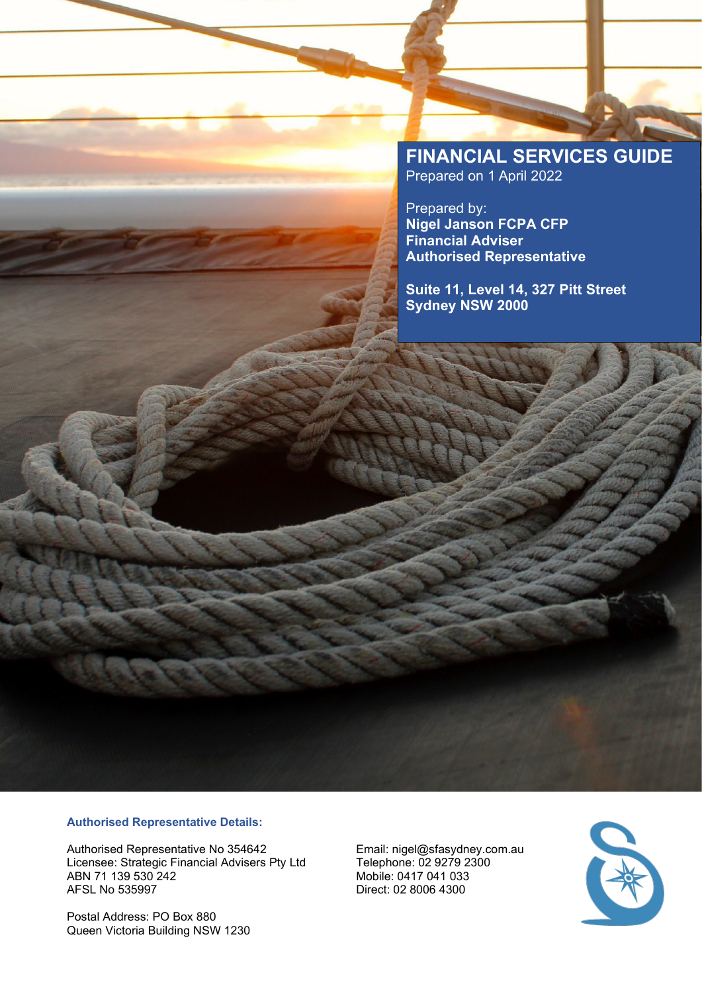# **FINANCIAL SERVICES GUIDE** Prepared on 1 April 2022

Prepared by: **Nigel Janson FCPA CFP Financial Adviser Authorised Representative**

**Suite 11, Level 14, 327 Pitt Street Sydney NSW 2000**

# **Authorised Representative Details:**

Authorised Representative No 354642 Email: nigel@sfasydney.com.au<br>Licensee: Strategic Financial Advisers Pty Ltd Telephone: 02 9279 2300 Licensee: Strategic Financial Advisers Pty Ltd<br>ABN 71 139 530 242 ABN 71 139 530 242 Mobile: 0417 041 033

Postal Address: PO Box 880 Queen Victoria Building NSW 1230 Direct: 02 8006 4300

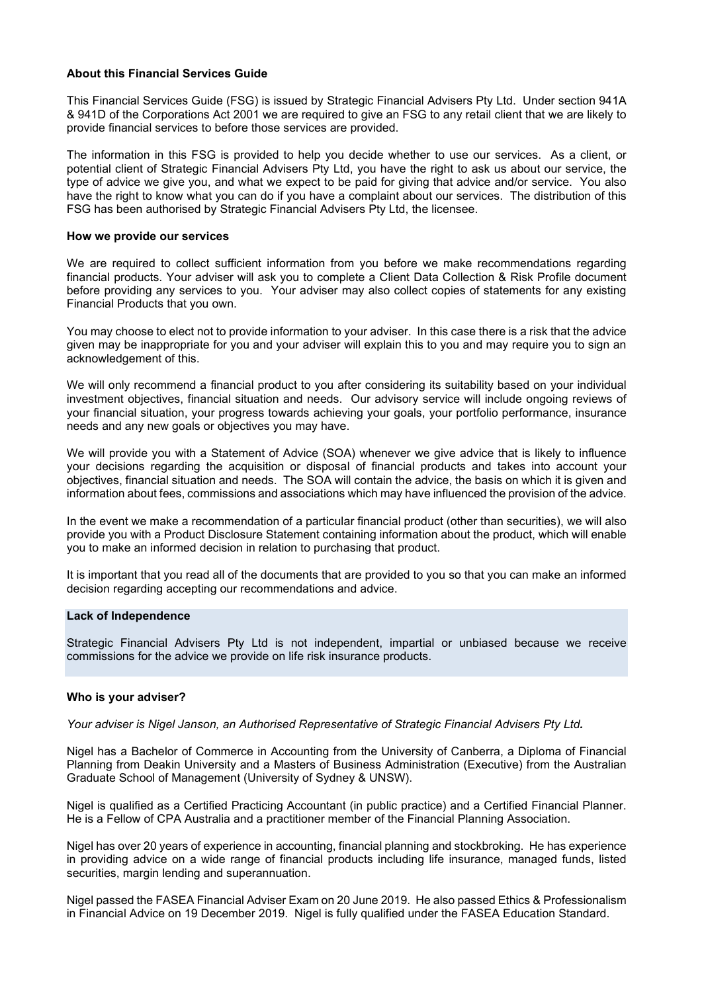## **About this Financial Services Guide**

This Financial Services Guide (FSG) is issued by Strategic Financial Advisers Pty Ltd. Under section 941A & 941D of the Corporations Act 2001 we are required to give an FSG to any retail client that we are likely to provide financial services to before those services are provided.

The information in this FSG is provided to help you decide whether to use our services. As a client, or potential client of Strategic Financial Advisers Pty Ltd, you have the right to ask us about our service, the type of advice we give you, and what we expect to be paid for giving that advice and/or service. You also have the right to know what you can do if you have a complaint about our services. The distribution of this FSG has been authorised by Strategic Financial Advisers Pty Ltd, the licensee.

## **How we provide our services**

We are required to collect sufficient information from you before we make recommendations regarding financial products. Your adviser will ask you to complete a Client Data Collection & Risk Profile document before providing any services to you. Your adviser may also collect copies of statements for any existing Financial Products that you own.

You may choose to elect not to provide information to your adviser. In this case there is a risk that the advice given may be inappropriate for you and your adviser will explain this to you and may require you to sign an acknowledgement of this.

We will only recommend a financial product to you after considering its suitability based on your individual investment objectives, financial situation and needs. Our advisory service will include ongoing reviews of your financial situation, your progress towards achieving your goals, your portfolio performance, insurance needs and any new goals or objectives you may have.

We will provide you with a Statement of Advice (SOA) whenever we give advice that is likely to influence your decisions regarding the acquisition or disposal of financial products and takes into account your objectives, financial situation and needs. The SOA will contain the advice, the basis on which it is given and information about fees, commissions and associations which may have influenced the provision of the advice.

In the event we make a recommendation of a particular financial product (other than securities), we will also provide you with a Product Disclosure Statement containing information about the product, which will enable you to make an informed decision in relation to purchasing that product.

It is important that you read all of the documents that are provided to you so that you can make an informed decision regarding accepting our recommendations and advice.

## **Lack of Independence**

Strategic Financial Advisers Pty Ltd is not independent, impartial or unbiased because we receive commissions for the advice we provide on life risk insurance products.

# **Who is your adviser?**

*Your adviser is Nigel Janson, an Authorised Representative of Strategic Financial Advisers Pty Ltd.* 

Nigel has a Bachelor of Commerce in Accounting from the University of Canberra, a Diploma of Financial Planning from Deakin University and a Masters of Business Administration (Executive) from the Australian Graduate School of Management (University of Sydney & UNSW).

Nigel is qualified as a Certified Practicing Accountant (in public practice) and a Certified Financial Planner. He is a Fellow of CPA Australia and a practitioner member of the Financial Planning Association.

Nigel has over 20 years of experience in accounting, financial planning and stockbroking. He has experience in providing advice on a wide range of financial products including life insurance, managed funds, listed securities, margin lending and superannuation.

Nigel passed the FASEA Financial Adviser Exam on 20 June 2019. He also passed Ethics & Professionalism in Financial Advice on 19 December 2019. Nigel is fully qualified under the FASEA Education Standard.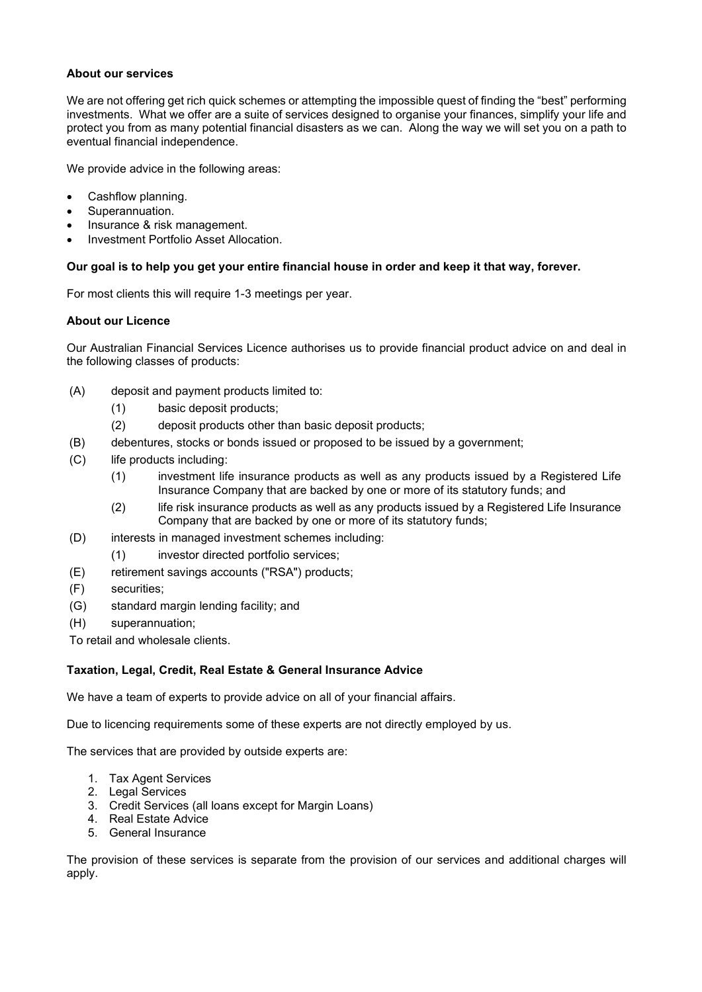# **About our services**

We are not offering get rich quick schemes or attempting the impossible quest of finding the "best" performing investments. What we offer are a suite of services designed to organise your finances, simplify your life and protect you from as many potential financial disasters as we can. Along the way we will set you on a path to eventual financial independence.

We provide advice in the following areas:

- Cashflow planning.
- Superannuation.
- Insurance & risk management.
- Investment Portfolio Asset Allocation.

# **Our goal is to help you get your entire financial house in order and keep it that way, forever.**

For most clients this will require 1-3 meetings per year.

## **About our Licence**

Our Australian Financial Services Licence authorises us to provide financial product advice on and deal in the following classes of products:

- (A) deposit and payment products limited to:
	- (1) basic deposit products;
	- (2) deposit products other than basic deposit products;
- (B) debentures, stocks or bonds issued or proposed to be issued by a government;
- (C) life products including:
	- (1) investment life insurance products as well as any products issued by a Registered Life Insurance Company that are backed by one or more of its statutory funds; and
	- (2) life risk insurance products as well as any products issued by a Registered Life Insurance Company that are backed by one or more of its statutory funds;
- (D) interests in managed investment schemes including:
	- (1) investor directed portfolio services;
- (E) retirement savings accounts ("RSA") products;
- (F) securities;
- (G) standard margin lending facility; and
- (H) superannuation;

To retail and wholesale clients.

# **Taxation, Legal, Credit, Real Estate & General Insurance Advice**

We have a team of experts to provide advice on all of your financial affairs.

Due to licencing requirements some of these experts are not directly employed by us.

The services that are provided by outside experts are:

- 1. Tax Agent Services
- 2. Legal Services
- 3. Credit Services (all loans except for Margin Loans)
- 4. Real Estate Advice
- 5. General Insurance

The provision of these services is separate from the provision of our services and additional charges will apply.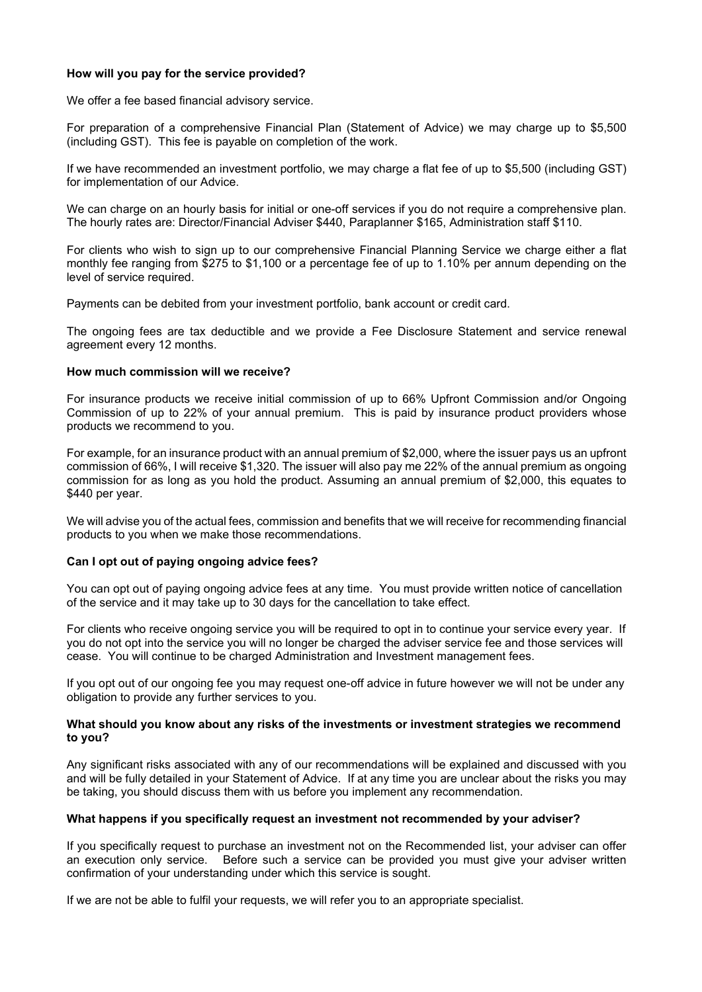## **How will you pay for the service provided?**

We offer a fee based financial advisory service.

For preparation of a comprehensive Financial Plan (Statement of Advice) we may charge up to \$5,500 (including GST). This fee is payable on completion of the work.

If we have recommended an investment portfolio, we may charge a flat fee of up to \$5,500 (including GST) for implementation of our Advice.

We can charge on an hourly basis for initial or one-off services if you do not require a comprehensive plan. The hourly rates are: Director/Financial Adviser \$440, Paraplanner \$165, Administration staff \$110.

For clients who wish to sign up to our comprehensive Financial Planning Service we charge either a flat monthly fee ranging from \$275 to \$1,100 or a percentage fee of up to 1.10% per annum depending on the level of service required.

Payments can be debited from your investment portfolio, bank account or credit card.

The ongoing fees are tax deductible and we provide a Fee Disclosure Statement and service renewal agreement every 12 months.

## **How much commission will we receive?**

For insurance products we receive initial commission of up to 66% Upfront Commission and/or Ongoing Commission of up to 22% of your annual premium. This is paid by insurance product providers whose products we recommend to you.

For example, for an insurance product with an annual premium of \$2,000, where the issuer pays us an upfront commission of 66%, I will receive \$1,320. The issuer will also pay me 22% of the annual premium as ongoing commission for as long as you hold the product. Assuming an annual premium of \$2,000, this equates to \$440 per year.

We will advise you of the actual fees, commission and benefits that we will receive for recommending financial products to you when we make those recommendations.

### **Can I opt out of paying ongoing advice fees?**

You can opt out of paying ongoing advice fees at any time. You must provide written notice of cancellation of the service and it may take up to 30 days for the cancellation to take effect.

For clients who receive ongoing service you will be required to opt in to continue your service every year. If you do not opt into the service you will no longer be charged the adviser service fee and those services will cease. You will continue to be charged Administration and Investment management fees.

If you opt out of our ongoing fee you may request one-off advice in future however we will not be under any obligation to provide any further services to you.

### **What should you know about any risks of the investments or investment strategies we recommend to you?**

Any significant risks associated with any of our recommendations will be explained and discussed with you and will be fully detailed in your Statement of Advice. If at any time you are unclear about the risks you may be taking, you should discuss them with us before you implement any recommendation.

### **What happens if you specifically request an investment not recommended by your adviser?**

If you specifically request to purchase an investment not on the Recommended list, your adviser can offer an execution only service. Before such a service can be provided you must give your adviser written confirmation of your understanding under which this service is sought.

If we are not be able to fulfil your requests, we will refer you to an appropriate specialist.